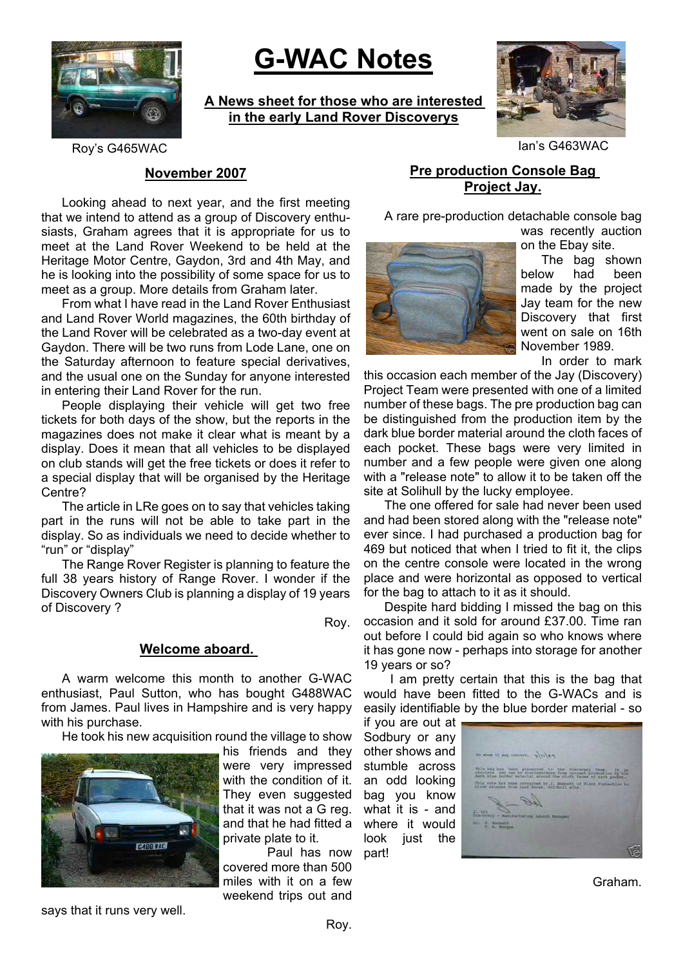

# **G-WAC Notes**

**A News sheet for those who are interested in the early Land Rover Discoverys**



Roy's G465WAC **Ian's G463WAC** 

# **November 2007**

Looking ahead to next year, and the first meeting that we intend to attend as a group of Discovery enthusiasts, Graham agrees that it is appropriate for us to meet at the Land Rover Weekend to be held at the Heritage Motor Centre, Gaydon, 3rd and 4th May, and he is looking into the possibility of some space for us to meet as a group. More details from Graham later.

From what I have read in the Land Rover Enthusiast and Land Rover World magazines, the 60th birthday of the Land Rover will be celebrated as a two-day event at Gaydon. There will be two runs from Lode Lane, one on the Saturday afternoon to feature special derivatives, and the usual one on the Sunday for anyone interested in entering their Land Rover for the run.

People displaying their vehicle will get two free tickets for both days of the show, but the reports in the magazines does not make it clear what is meant by a display. Does it mean that all vehicles to be displayed on club stands will get the free tickets or does it refer to a special display that will be organised by the Heritage Centre?

The article in LRe goes on to say that vehicles taking part in the runs will not be able to take part in the display. So as individuals we need to decide whether to "run" or "display"

The Range Rover Register is planning to feature the full 38 years history of Range Rover. I wonder if the Discovery Owners Club is planning a display of 19 years of Discovery ?

Roy.

#### **Welcome aboard.**

A warm welcome this month to another G-WAC enthusiast, Paul Sutton, who has bought G488WAC from James. Paul lives in Hampshire and is very happy with his purchase.

He took his new acquisition round the village to show



his friends and they were very impressed with the condition of it. They even suggested that it was not a G reg. and that he had fitted a private plate to it.

 Paul has now covered more than 500 miles with it on a few weekend trips out and

# **Pre production Console Bag Project Jay.**

A rare pre-production detachable console bag

was recently auction on the Ebay site.



The bag shown below had been made by the project Jay team for the new Discovery that first went on sale on 16th November 1989.

In order to mark

this occasion each member of the Jay (Discovery) Project Team were presented with one of a limited number of these bags. The pre production bag can be distinguished from the production item by the dark blue border material around the cloth faces of each pocket. These bags were very limited in number and a few people were given one along with a "release note" to allow it to be taken off the site at Solihull by the lucky employee.

The one offered for sale had never been used and had been stored along with the "release note" ever since. I had purchased a production bag for 469 but noticed that when I tried to fit it, the clips on the centre console were located in the wrong place and were horizontal as opposed to vertical for the bag to attach to it as it should.

Despite hard bidding I missed the bag on this occasion and it sold for around £37.00. Time ran out before I could bid again so who knows where it has gone now - perhaps into storage for another 19 years or so?

I am pretty certain that this is the bag that would have been fitted to the G-WACs and is easily identifiable by the blue border material - so

if you are out at Sodbury or any other shows and stumble across an odd looking bag you know what it is - and where it would look just the part!



Graham.

says that it runs very well.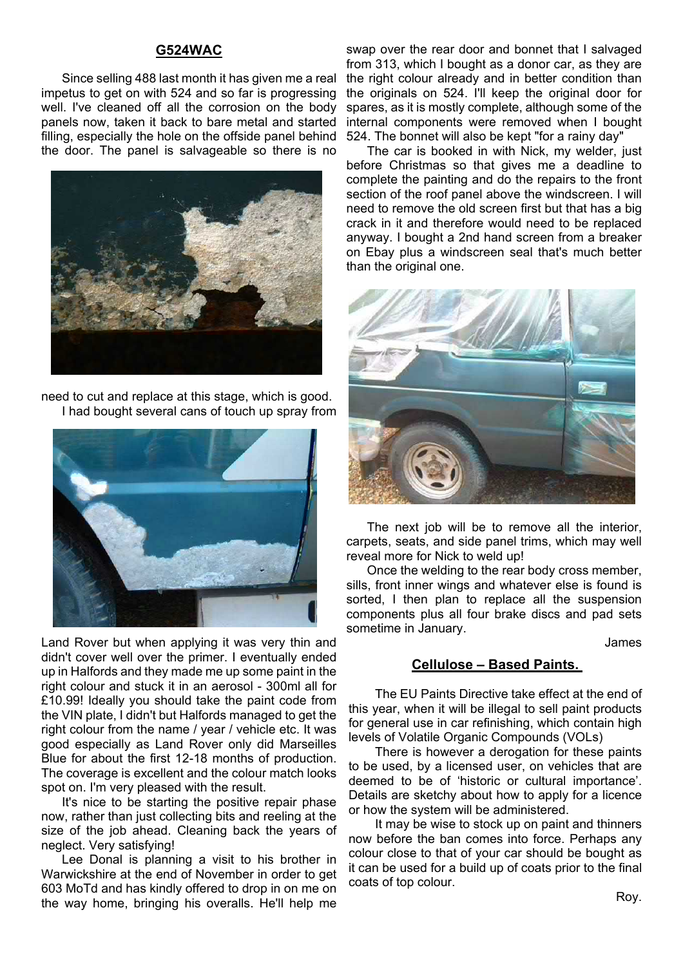#### **G524WAC**

Since selling 488 last month it has given me a real impetus to get on with 524 and so far is progressing well. I've cleaned off all the corrosion on the body panels now, taken it back to bare metal and started filling, especially the hole on the offside panel behind the door. The panel is salvageable so there is no



need to cut and replace at this stage, which is good. I had bought several cans of touch up spray from



Land Rover but when applying it was very thin and didn't cover well over the primer. I eventually ended up in Halfords and they made me up some paint in the right colour and stuck it in an aerosol - 300ml all for £10.99! Ideally you should take the paint code from the VIN plate, I didn't but Halfords managed to get the right colour from the name / year / vehicle etc. It was good especially as Land Rover only did Marseilles Blue for about the first 12-18 months of production. The coverage is excellent and the colour match looks spot on. I'm very pleased with the result.

It's nice to be starting the positive repair phase now, rather than just collecting bits and reeling at the size of the job ahead. Cleaning back the years of neglect. Very satisfying!

Lee Donal is planning a visit to his brother in Warwickshire at the end of November in order to get 603 MoTd and has kindly offered to drop in on me on the way home, bringing his overalls. He'll help me

swap over the rear door and bonnet that I salvaged from 313, which I bought as a donor car, as they are the right colour already and in better condition than the originals on 524. I'll keep the original door for spares, as it is mostly complete, although some of the internal components were removed when I bought 524. The bonnet will also be kept "for a rainy day"

The car is booked in with Nick, my welder, just before Christmas so that gives me a deadline to complete the painting and do the repairs to the front section of the roof panel above the windscreen. I will need to remove the old screen first but that has a big crack in it and therefore would need to be replaced anyway. I bought a 2nd hand screen from a breaker on Ebay plus a windscreen seal that's much better than the original one.



The next job will be to remove all the interior, carpets, seats, and side panel trims, which may well reveal more for Nick to weld up!

Once the welding to the rear body cross member, sills, front inner wings and whatever else is found is sorted, I then plan to replace all the suspension components plus all four brake discs and pad sets sometime in January.

James

#### **Cellulose – Based Paints.**

The EU Paints Directive take effect at the end of this year, when it will be illegal to sell paint products for general use in car refinishing, which contain high levels of Volatile Organic Compounds (VOLs)

There is however a derogation for these paints to be used, by a licensed user, on vehicles that are deemed to be of 'historic or cultural importance'. Details are sketchy about how to apply for a licence or how the system will be administered.

It may be wise to stock up on paint and thinners now before the ban comes into force. Perhaps any colour close to that of your car should be bought as it can be used for a build up of coats prior to the final coats of top colour.